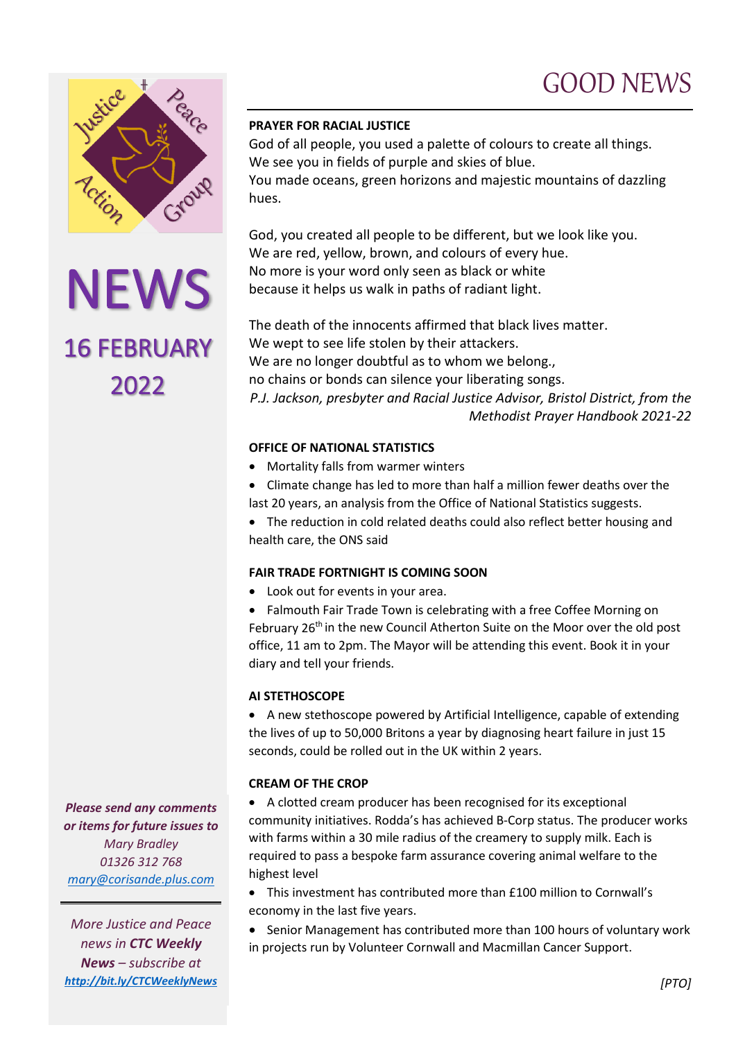## GOOD NEWS



NEWS<br>16 FEBRUARY 2022

### **PRAYER FOR RACIAL JUSTICE**

God of all people, you used a palette of colours to create all things. We see you in fields of purple and skies of blue.

You made oceans, green horizons and majestic mountains of dazzling hues.

God, you created all people to be different, but we look like you. We are red, yellow, brown, and colours of every hue. No more is your word only seen as black or white because it helps us walk in paths of radiant light.

The death of the innocents affirmed that black lives matter. We wept to see life stolen by their attackers. We are no longer doubtful as to whom we belong., no chains or bonds can silence your liberating songs. *P.J. Jackson, presbyter and Racial Justice Advisor, Bristol District, from the Methodist Prayer Handbook 2021-22*

### **OFFICE OF NATIONAL STATISTICS**

- Mortality falls from warmer winters
- Climate change has led to more than half a million fewer deaths over the last 20 years, an analysis from the Office of National Statistics suggests.

• The reduction in cold related deaths could also reflect better housing and health care, the ONS said

## **FAIR TRADE FORTNIGHT IS COMING SOON**

• Look out for events in your area.

• Falmouth Fair Trade Town is celebrating with a free Coffee Morning on February 26<sup>th</sup> in the new Council Atherton Suite on the Moor over the old post office, 11 am to 2pm. The Mayor will be attending this event. Book it in your diary and tell your friends.

## **AI STETHOSCOPE**

• A new stethoscope powered by Artificial Intelligence, capable of extending the lives of up to 50,000 Britons a year by diagnosing heart failure in just 15 seconds, could be rolled out in the UK within 2 years.

#### **CREAM OF THE CROP**

• A clotted cream producer has been recognised for its exceptional community initiatives. Rodda's has achieved B-Corp status. The producer works with farms within a 30 mile radius of the creamery to supply milk. Each is required to pass a bespoke farm assurance covering animal welfare to the highest level

• This investment has contributed more than £100 million to Cornwall's economy in the last five years.

• Senior Management has contributed more than 100 hours of voluntary work in projects run by Volunteer Cornwall and Macmillan Cancer Support.

*Please send any comments or items for future issues to Mary Bradley 01326 312 768 [mary@corisande.plus.com](mailto:mary@corisande.plus.com)*

*More Justice and Peace news in CTC Weekly News – subscribe at <http://bit.ly/CTCWeeklyNews>*